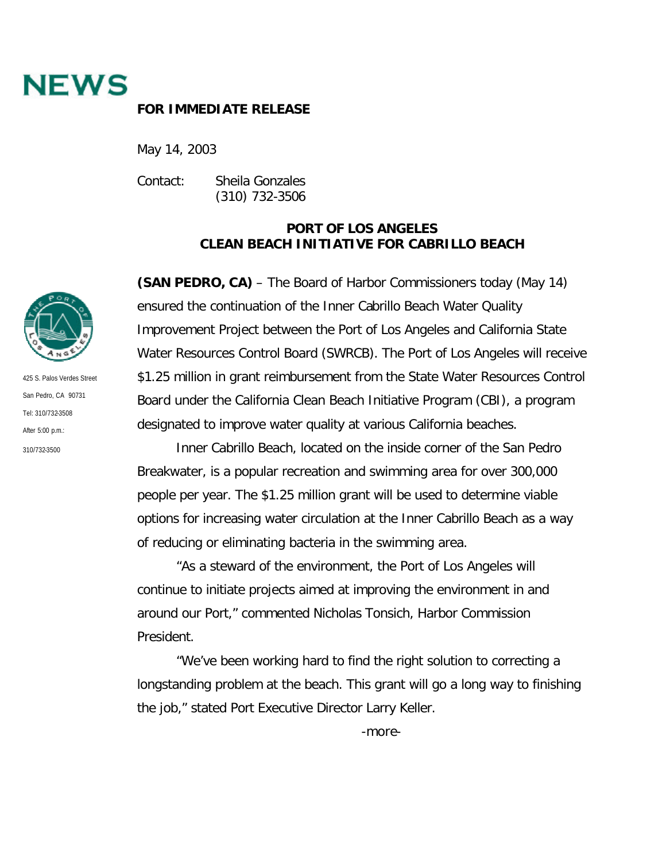

## **FOR IMMEDIATE RELEASE**

May 14, 2003

Contact: Sheila Gonzales (310) 732-3506

## **PORT OF LOS ANGELES CLEAN BEACH INITIATIVE FOR CABRILLO BEACH**

**(SAN PEDRO, CA)** – The Board of Harbor Commissioners today (May 14) ensured the continuation of the Inner Cabrillo Beach Water Quality Improvement Project between the Port of Los Angeles and California State Water Resources Control Board (SWRCB). The Port of Los Angeles will receive \$1.25 million in grant reimbursement from the State Water Resources Control Board under the California Clean Beach Initiative Program (CBI), a program designated to improve water quality at various California beaches.

Inner Cabrillo Beach, located on the inside corner of the San Pedro Breakwater, is a popular recreation and swimming area for over 300,000 people per year. The \$1.25 million grant will be used to determine viable options for increasing water circulation at the Inner Cabrillo Beach as a way of reducing or eliminating bacteria in the swimming area.

"As a steward of the environment, the Port of Los Angeles will continue to initiate projects aimed at improving the environment in and around our Port," commented Nicholas Tonsich, Harbor Commission President.

"We've been working hard to find the right solution to correcting a longstanding problem at the beach. This grant will go a long way to finishing the job," stated Port Executive Director Larry Keller.



425 S. Palos Verdes Street San Pedro, CA 90731 Tel: 310/732-3508 After 5:00 p.m.: 310/732-3500